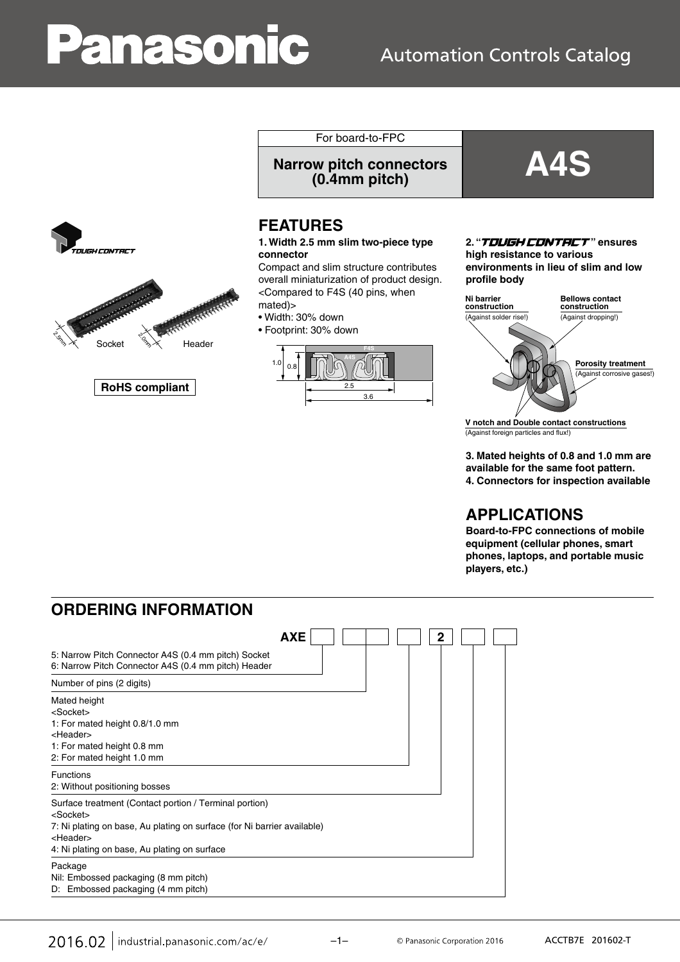# **Panasonic**

## **Automation Controls Catalog**





**RoHS compliant**

For board-to-FPC

**Narrow pitch connectors (0.4mm pitch) A4S**

## **FEATURES**

#### **1. Width 2.5 mm slim two-piece type connector**

Compact and slim structure contributes overall miniaturization of product design. <Compared to F4S (40 pins, when mated)>

- Width: 30% down
- Footprint: 30% down



#### 2. "T**DUGH CDNTRCT**" ensures

**high resistance to various environments in lieu of slim and low profile body**



**V notch and Double contact constructions** (Against foreign particles and flux!)

**3. Mated heights of 0.8 and 1.0 mm are available for the same foot pattern. 4. Connectors for inspection available**

## **APPLICATIONS**

**Board-to-FPC connections of mobile equipment (cellular phones, smart phones, laptops, and portable music players, etc.)**

## **ORDERING INFORMATION**

| <b>AXE</b>                                                                                                                                                                                                                | $\mathbf{2}$ |
|---------------------------------------------------------------------------------------------------------------------------------------------------------------------------------------------------------------------------|--------------|
| 5: Narrow Pitch Connector A4S (0.4 mm pitch) Socket<br>6: Narrow Pitch Connector A4S (0.4 mm pitch) Header                                                                                                                |              |
| Number of pins (2 digits)                                                                                                                                                                                                 |              |
| Mated height<br><socket><br/>1: For mated height 0.8/1.0 mm<br/><header><br/>1: For mated height 0.8 mm<br/>2: For mated height 1.0 mm</header></socket>                                                                  |              |
| <b>Functions</b><br>2: Without positioning bosses                                                                                                                                                                         |              |
| Surface treatment (Contact portion / Terminal portion)<br>$<$ Socket $>$<br>7: Ni plating on base, Au plating on surface (for Ni barrier available)<br><header><br/>4: Ni plating on base, Au plating on surface</header> |              |
| Package<br>Nil: Embossed packaging (8 mm pitch)<br>D: Embossed packaging (4 mm pitch)                                                                                                                                     |              |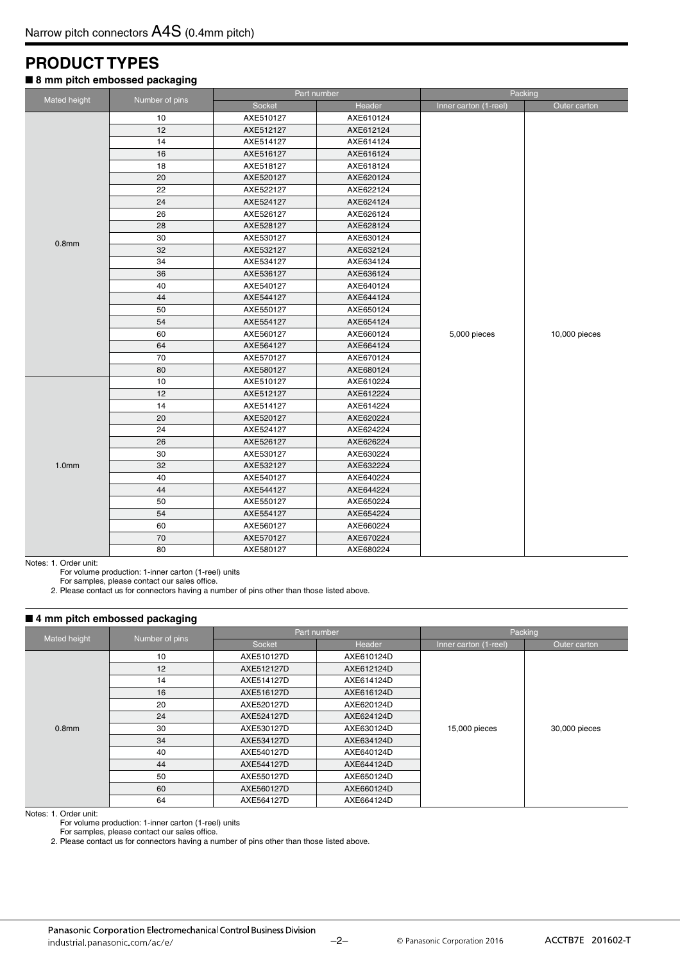## **PRODUCT TYPES**

#### ■ 8 mm pitch embossed packaging

|                   |                |                        | Part number | Packing               |               |  |  |
|-------------------|----------------|------------------------|-------------|-----------------------|---------------|--|--|
| Mated height      | Number of pins | Socket                 | Header      | Inner carton (1-reel) | Outer carton  |  |  |
|                   | 10             | AXE510127              | AXE610124   |                       |               |  |  |
|                   | 12             | AXE512127              | AXE612124   |                       |               |  |  |
|                   | 14             | AXE514127              | AXE614124   |                       |               |  |  |
|                   | 16             | AXE516127              | AXE616124   |                       |               |  |  |
|                   | 18             | AXE518127              | AXE618124   |                       |               |  |  |
|                   | 20             | AXE520127              | AXE620124   |                       |               |  |  |
|                   | 22             | AXE522127              | AXE622124   |                       |               |  |  |
|                   | 24             | AXE524127              | AXE624124   |                       |               |  |  |
|                   | 26             | AXE526127              | AXE626124   |                       |               |  |  |
|                   | 28             | AXE528127              | AXE628124   |                       |               |  |  |
|                   | 30             | AXE530127              | AXE630124   |                       |               |  |  |
| 0.8 <sub>mm</sub> | 32             | AXE532127              | AXE632124   |                       |               |  |  |
|                   | 34             | AXE534127              | AXE634124   |                       |               |  |  |
|                   | 36             | AXE536127              | AXE636124   |                       |               |  |  |
|                   | 40             | AXE540127              | AXE640124   |                       |               |  |  |
|                   | 44             | AXE544127              | AXE644124   |                       |               |  |  |
|                   | 50             | AXE550127              | AXE650124   |                       |               |  |  |
|                   | 54             | AXE554127              | AXE654124   |                       |               |  |  |
|                   | 60             | AXE560127              | AXE660124   | 5,000 pieces          | 10,000 pieces |  |  |
|                   | 64             | AXE564127              | AXE664124   |                       |               |  |  |
|                   | 70             | AXE570127              | AXE670124   |                       |               |  |  |
|                   | 80             | AXE580127              | AXE680124   |                       |               |  |  |
|                   | 10             | AXE510127              | AXE610224   |                       |               |  |  |
|                   | 12             | AXE512127              | AXE612224   |                       |               |  |  |
|                   | 14             | AXE514127              | AXE614224   |                       |               |  |  |
|                   | 20             | AXE520127              | AXE620224   |                       |               |  |  |
|                   | 24             | AXE524127              | AXE624224   |                       |               |  |  |
|                   | 26             | AXE526127              | AXE626224   |                       |               |  |  |
|                   | 30             | AXE530127              | AXE630224   |                       |               |  |  |
| 1.0 <sub>mm</sub> | 32             | AXE532127              | AXE632224   |                       |               |  |  |
|                   | 40             | AXE540127              | AXE640224   |                       |               |  |  |
|                   | 44             | AXE544127              | AXE644224   |                       |               |  |  |
|                   | 50             | AXE550127              | AXE650224   |                       |               |  |  |
|                   | 54             | AXE554127              | AXE654224   |                       |               |  |  |
|                   | 60             | AXE560127              | AXE660224   |                       |               |  |  |
|                   | 70             | AXE570127              | AXE670224   |                       |               |  |  |
|                   | 80             | AXE580127<br>AXE680224 |             |                       |               |  |  |

Notes: 1. Order unit:

For volume production: 1-inner carton (1-reel) units

For samples, please contact our sales office.

2. Please contact us for connectors having a number of pins other than those listed above.

#### ■ 4 mm pitch embossed packaging

|                   |                |            | Part number | Packing               |               |  |  |
|-------------------|----------------|------------|-------------|-----------------------|---------------|--|--|
| Mated height      | Number of pins | Socket     | Header      | Inner carton (1-reel) | Outer carton  |  |  |
|                   | 10             | AXE510127D | AXE610124D  |                       |               |  |  |
|                   | 12             | AXE512127D | AXE612124D  |                       |               |  |  |
|                   | 14             | AXE514127D | AXE614124D  |                       |               |  |  |
|                   | 16             | AXE516127D | AXE616124D  |                       |               |  |  |
|                   | 20             | AXE520127D | AXE620124D  |                       | 30,000 pieces |  |  |
|                   | 24             | AXE524127D | AXE624124D  |                       |               |  |  |
| 0.8 <sub>mm</sub> | 30             | AXE530127D | AXE630124D  | 15,000 pieces         |               |  |  |
|                   | 34             | AXE534127D | AXE634124D  |                       |               |  |  |
|                   | 40             | AXE540127D | AXE640124D  |                       |               |  |  |
|                   | 44             | AXE544127D | AXE644124D  |                       |               |  |  |
|                   | 50             | AXE550127D | AXE650124D  |                       |               |  |  |
|                   | 60             | AXE560127D | AXE660124D  |                       |               |  |  |
|                   | 64             | AXE564127D | AXE664124D  |                       |               |  |  |

Notes: 1. Order unit:

For volume production: 1-inner carton (1-reel) units

For samples, please contact our sales office.

2. Please contact us for connectors having a number of pins other than those listed above.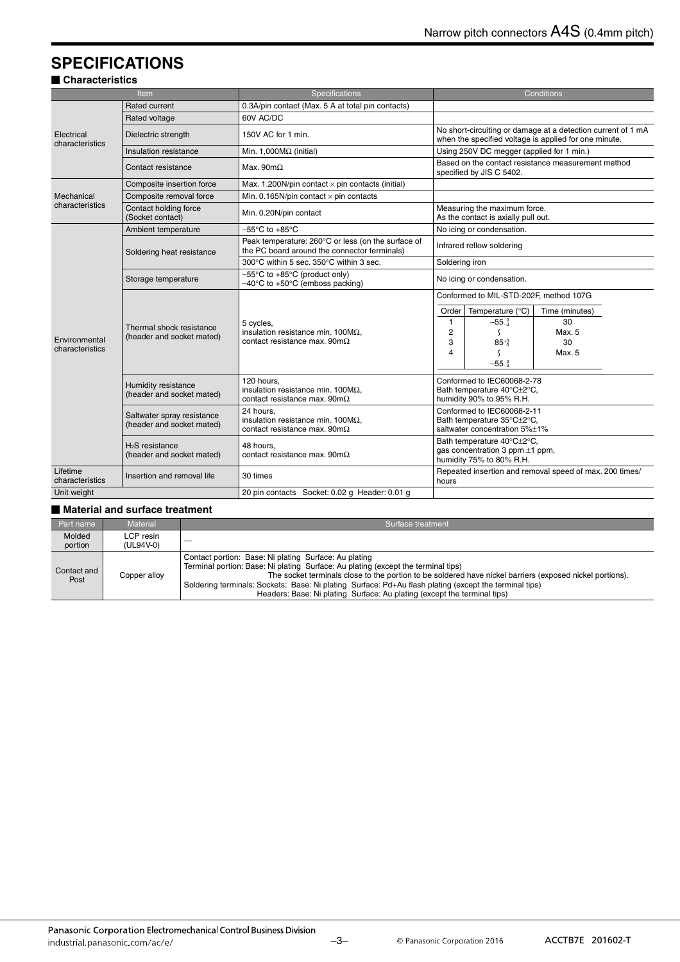## **SPECIFICATIONS**

#### - **Characteristics**

|                                  | Item                                                  | Specifications                                                                                            | Conditions                                                                           |                                                                                                                       |                                                         |  |  |  |
|----------------------------------|-------------------------------------------------------|-----------------------------------------------------------------------------------------------------------|--------------------------------------------------------------------------------------|-----------------------------------------------------------------------------------------------------------------------|---------------------------------------------------------|--|--|--|
|                                  | Rated current                                         | 0.3A/pin contact (Max. 5 A at total pin contacts)                                                         |                                                                                      |                                                                                                                       |                                                         |  |  |  |
|                                  | Rated voltage                                         | 60V AC/DC                                                                                                 |                                                                                      |                                                                                                                       |                                                         |  |  |  |
| Electrical<br>characteristics    | Dielectric strength                                   | 150V AC for 1 min.                                                                                        |                                                                                      | No short-circuiting or damage at a detection current of 1 mA<br>when the specified voltage is applied for one minute. |                                                         |  |  |  |
|                                  | Insulation resistance                                 | Min. 1,000 $M\Omega$ (initial)                                                                            |                                                                                      | Using 250V DC megger (applied for 1 min.)                                                                             |                                                         |  |  |  |
|                                  | Contact resistance                                    | Max. $90m\Omega$                                                                                          |                                                                                      | specified by JIS C 5402.                                                                                              | Based on the contact resistance measurement method      |  |  |  |
|                                  | Composite insertion force                             | Max. 1.200N/pin contact $\times$ pin contacts (initial)                                                   |                                                                                      |                                                                                                                       |                                                         |  |  |  |
| Mechanical                       | Composite removal force                               | Min. 0.165N/pin contact $\times$ pin contacts                                                             |                                                                                      |                                                                                                                       |                                                         |  |  |  |
| characteristics                  | Contact holding force<br>(Socket contact)             | Min. 0.20N/pin contact                                                                                    |                                                                                      | Measuring the maximum force.<br>As the contact is axially pull out.                                                   |                                                         |  |  |  |
|                                  | Ambient temperature                                   | $-55^{\circ}$ C to $+85^{\circ}$ C                                                                        |                                                                                      | No icing or condensation.                                                                                             |                                                         |  |  |  |
|                                  | Soldering heat resistance                             | Peak temperature: 260°C or less (on the surface of<br>the PC board around the connector terminals)        |                                                                                      | Infrared reflow soldering                                                                                             |                                                         |  |  |  |
|                                  |                                                       | 300°C within 5 sec. 350°C within 3 sec.                                                                   |                                                                                      | Soldering iron                                                                                                        |                                                         |  |  |  |
|                                  | Storage temperature                                   | $-55^{\circ}$ C to $+85^{\circ}$ C (product only)<br>$-40^{\circ}$ C to +50 $^{\circ}$ C (emboss packing) | No icing or condensation.                                                            |                                                                                                                       |                                                         |  |  |  |
|                                  |                                                       |                                                                                                           | Conformed to MIL-STD-202F, method 107G                                               |                                                                                                                       |                                                         |  |  |  |
|                                  |                                                       |                                                                                                           | Order                                                                                | Temperature (°C)                                                                                                      | Time (minutes)                                          |  |  |  |
|                                  |                                                       | 5 cvcles.                                                                                                 | $\mathbf{1}$                                                                         | $-55-3$                                                                                                               | 30                                                      |  |  |  |
|                                  | Thermal shock resistance<br>(header and socket mated) | insulation resistance min. $100M\Omega$ .                                                                 | $\overline{2}$                                                                       | - 1                                                                                                                   | Max. 5                                                  |  |  |  |
| Environmental<br>characteristics |                                                       | contact resistance max. 90m $\Omega$                                                                      | 3                                                                                    | $85^{+3}$                                                                                                             | 30                                                      |  |  |  |
|                                  |                                                       |                                                                                                           | 4                                                                                    |                                                                                                                       | Max. 5                                                  |  |  |  |
|                                  |                                                       |                                                                                                           |                                                                                      | $-55-3$                                                                                                               |                                                         |  |  |  |
|                                  | Humidity resistance<br>(header and socket mated)      | 120 hours,<br>insulation resistance min. $100M\Omega$ ,<br>contact resistance max. $90 \text{m}\Omega$    | Conformed to IEC60068-2-78<br>Bath temperature 40°C±2°C.<br>humidity 90% to 95% R.H. |                                                                                                                       |                                                         |  |  |  |
|                                  | Saltwater spray resistance                            | 24 hours.<br>insulation resistance min. $100M\Omega$ ,                                                    |                                                                                      | Conformed to IEC60068-2-11<br>Bath temperature 35°C±2°C,                                                              |                                                         |  |  |  |
|                                  | (header and socket mated)                             | contact resistance max. $90 \text{m}\Omega$                                                               |                                                                                      | saltwater concentration 5%±1%                                                                                         |                                                         |  |  |  |
|                                  | H <sub>2</sub> S resistance                           | 48 hours.                                                                                                 |                                                                                      | Bath temperature 40°C±2°C.<br>gas concentration 3 ppm ±1 ppm,                                                         |                                                         |  |  |  |
|                                  | (header and socket mated)                             | contact resistance max. $90 \text{m}\Omega$                                                               |                                                                                      | humidity 75% to 80% R.H.                                                                                              |                                                         |  |  |  |
| Lifetime<br>characteristics      | Insertion and removal life                            | 30 times                                                                                                  | hours                                                                                |                                                                                                                       | Repeated insertion and removal speed of max. 200 times/ |  |  |  |
| Unit weight                      |                                                       | 20 pin contacts Socket: 0.02 g Header: 0.01 g                                                             |                                                                                      |                                                                                                                       |                                                         |  |  |  |

#### - **Material and surface treatment**

| Part name           | <b>Material</b>        | Surface treatment                                                                                                                                                                                                                                                                                                                                                                                                                            |
|---------------------|------------------------|----------------------------------------------------------------------------------------------------------------------------------------------------------------------------------------------------------------------------------------------------------------------------------------------------------------------------------------------------------------------------------------------------------------------------------------------|
| Molded<br>portion   | LCP resin<br>(UL94V-0) | $\overline{\phantom{a}}$                                                                                                                                                                                                                                                                                                                                                                                                                     |
| Contact and<br>Post | Copper alloy           | Contact portion: Base: Ni plating Surface: Au plating<br>Terminal portion: Base: Ni plating Surface: Au plating (except the terminal tips)<br>The socket terminals close to the portion to be soldered have nickel barriers (exposed nickel portions).<br>Soldering terminals: Sockets: Base: Ni plating Surface: Pd+Au flash plating (except the terminal tips)<br>Headers: Base: Ni plating Surface: Au plating (except the terminal tips) |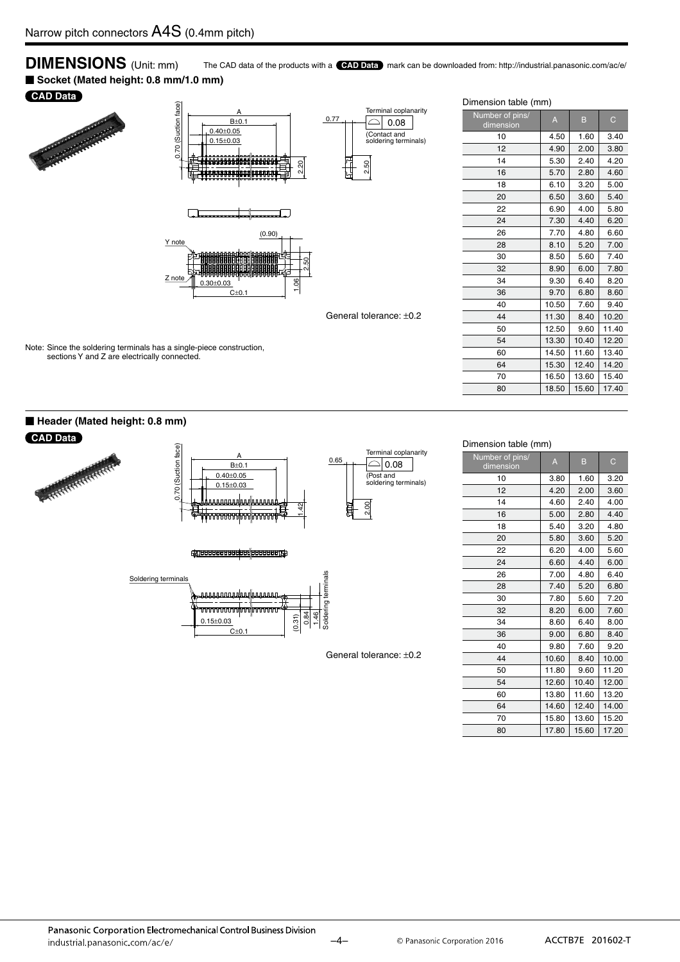**DIMENSIONS** (Unit: mm) The CAD data of the products with a **CAD Data** mark can be downloaded from: http://industrial.panasonic.com/ac/e/ ■ Socket (Mated height: 0.8 mm/1.0 mm)

#### **CAD Data**





Note: Since the soldering terminals has a single-piece construction, sections Y and Z are electrically connected.





General tolerance: ±0.2

#### Dimension table (mm)

| Number of pins/<br>dimension | $\overline{A}$ | B     | $\mathsf{C}$ |
|------------------------------|----------------|-------|--------------|
| 10                           | 4.50           | 1.60  | 3.40         |
| 12                           | 4.90           | 2.00  | 3.80         |
| 14                           | 5.30           | 2.40  | 4.20         |
| 16                           | 5.70           | 2.80  | 4.60         |
| 18                           | 6.10           | 3.20  | 5.00         |
| 20                           | 6.50           | 3.60  | 5.40         |
| 22                           | 6.90           | 4.00  | 5.80         |
| 24                           | 7.30           | 4.40  | 6.20         |
| 26                           | 7.70           | 4.80  | 6.60         |
| 28                           | 8.10           | 5.20  | 7.00         |
| 30                           | 8.50           | 5.60  | 7.40         |
| 32                           | 8.90           | 6.00  | 7.80         |
| 34                           | 9.30           | 6.40  | 8.20         |
| 36                           | 9.70           | 6.80  | 8.60         |
| 40                           | 10.50          | 7.60  | 9.40         |
| 44                           | 11.30          | 8.40  | 10.20        |
| 50                           | 12.50          | 9.60  | 11.40        |
| 54                           | 13.30          | 10.40 | 12.20        |
| 60                           | 14.50          | 11.60 | 13.40        |
| 64                           | 15.30          | 12.40 | 14.20        |
| 70                           | 16.50          | 13.60 | 15.40        |
| 80                           | 18.50          | 15.60 | 17.40        |

#### Dimension table (mm)

| Number of pins/<br>dimension | A     | B     | C     |
|------------------------------|-------|-------|-------|
| 10                           | 3.80  | 1.60  | 3.20  |
| 12                           | 4.20  | 2.00  | 3.60  |
| 14                           | 4.60  | 2.40  | 4.00  |
| 16                           | 5.00  | 2.80  | 4.40  |
| 18                           | 5.40  | 3.20  | 4.80  |
| 20                           | 5.80  | 3.60  | 5.20  |
| 22                           | 6.20  | 4.00  | 5.60  |
| 24                           | 6.60  | 4.40  | 6.00  |
| 26                           | 7.00  | 4.80  | 6.40  |
| 28                           | 7.40  | 5.20  | 6.80  |
| 30                           | 7.80  | 5.60  | 7.20  |
| 32                           | 8.20  | 6.00  | 7.60  |
| 34                           | 8.60  | 6.40  | 8.00  |
| 36                           | 9.00  | 6.80  | 8.40  |
| 40                           | 9.80  | 7.60  | 9.20  |
| 44                           | 10.60 | 8.40  | 10.00 |
| 50                           | 11.80 | 9.60  | 11.20 |
| 54                           | 12.60 | 10.40 | 12.00 |
| 60                           | 13.80 | 11.60 | 13.20 |
| 64                           | 14.60 | 12.40 | 14.00 |
| 70                           | 15.80 | 13.60 | 15.20 |
| 80                           | 17.80 | 15.60 | 17.20 |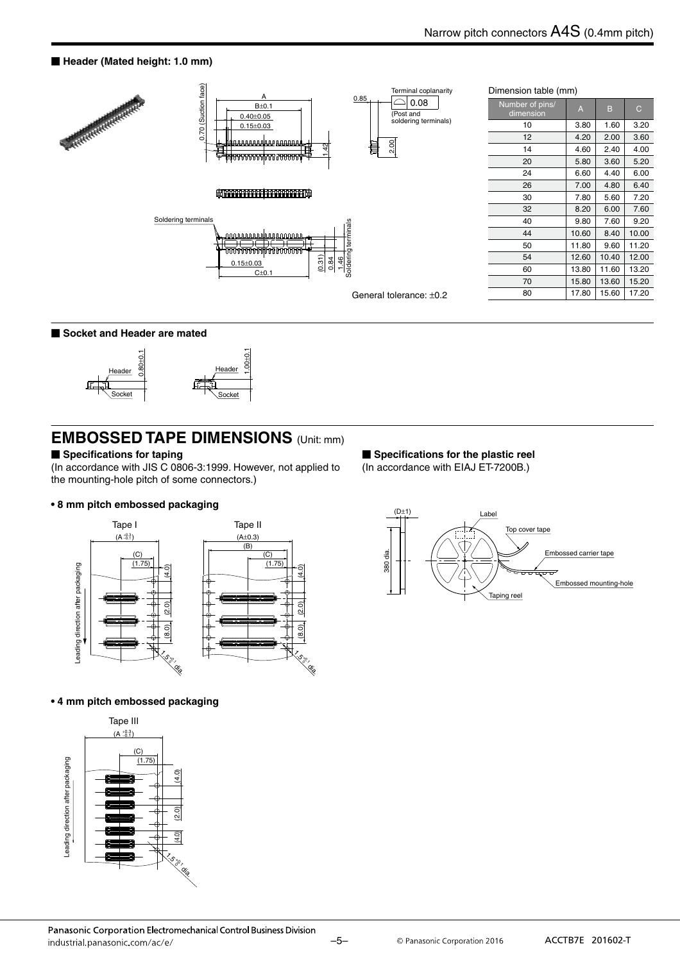#### ■ Header (Mated height: 1.0 mm)



#### **Socket and Header are mated**



#### ■ Specifications for taping

(In accordance with JIS C 0806-3:1999. However, not applied to the mounting-hole pitch of some connectors.)

#### **• 8 mm pitch embossed packaging**



#### **• 4 mm pitch embossed packaging**



**Specifications for the plastic reel** (In accordance with EIAJ ET-7200B.)

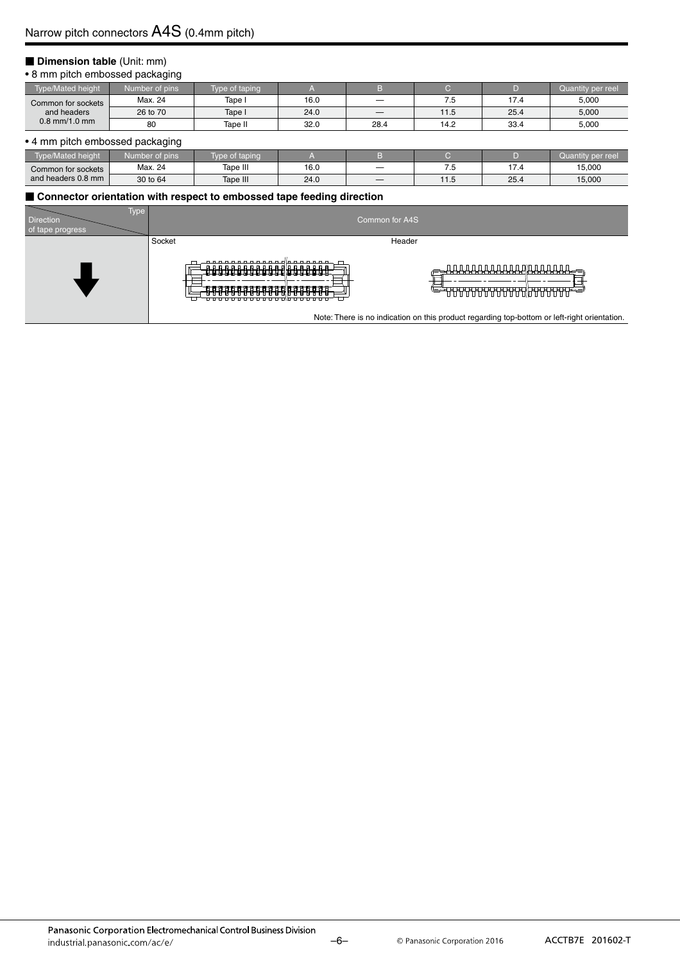#### **Dimension table (Unit: mm)**

#### • 8 mm pitch embossed packaging

|                                   | --             |                |      |      |      |      |                   |
|-----------------------------------|----------------|----------------|------|------|------|------|-------------------|
| Type/Mated height <sup>1</sup>    | Number of pins | Type of taping |      |      |      |      | Quantity per reel |
| Common for sockets<br>and headers | Max. 24        | Tape i         | 16.0 |      | ۵. / | . -  | 5,000             |
|                                   | 26 to 70       | Tape I         | 24.0 |      | 11.5 | 25.4 | 5,000             |
| $0.8$ mm/1.0 mm                   | 80             | Tape II        | 32.0 | 28.4 | 14.2 | 33.4 | 5,000             |

#### • 4 mm pitch embossed packaging

| Tvpe/Mated height  | r of pins'<br>Number <sup>e</sup> | of tapinc ؛ |      |                     |      | per reel<br>vuannu |
|--------------------|-----------------------------------|-------------|------|---------------------|------|--------------------|
| Common for sockets | Max. 24                           | Tape III    | 16.0 | - -<br>$\cdot\cdot$ | . -  | 15,000             |
| and headers 0.8 mm | 30 to 64                          | Tape III    | 24.0 |                     | 25.4 | 15,000             |

#### ■ Connector orientation with respect to embossed tape feeding direction

| Гуре<br><b>Direction</b><br>of tape progress |        |                                                                                                         | Common for A4S |                                                                                         |
|----------------------------------------------|--------|---------------------------------------------------------------------------------------------------------|----------------|-----------------------------------------------------------------------------------------|
|                                              | Socket |                                                                                                         | Header         |                                                                                         |
|                                              |        | 188888888888 <b>888888</b><br><del>᠄₽₽₽₽₽₽₽₽₽₽₽₽</del> ₽₽₽₽₽₽₽₽<br>************************************ |                | <del>╒</del> ╼┸╂╂╂╂╂╂╂╂╂╂╂╂┦╟╊╂╂╂╂╂╊ <i>═</i> ╕<br><del>ŰĔĔŊŊŊŊŊŊŊŊŊŊŊŊŊŊŊŊŊŊŊŊŊŊ</del> |

Note: There is no indication on this product regarding top-bottom or left-right orientation.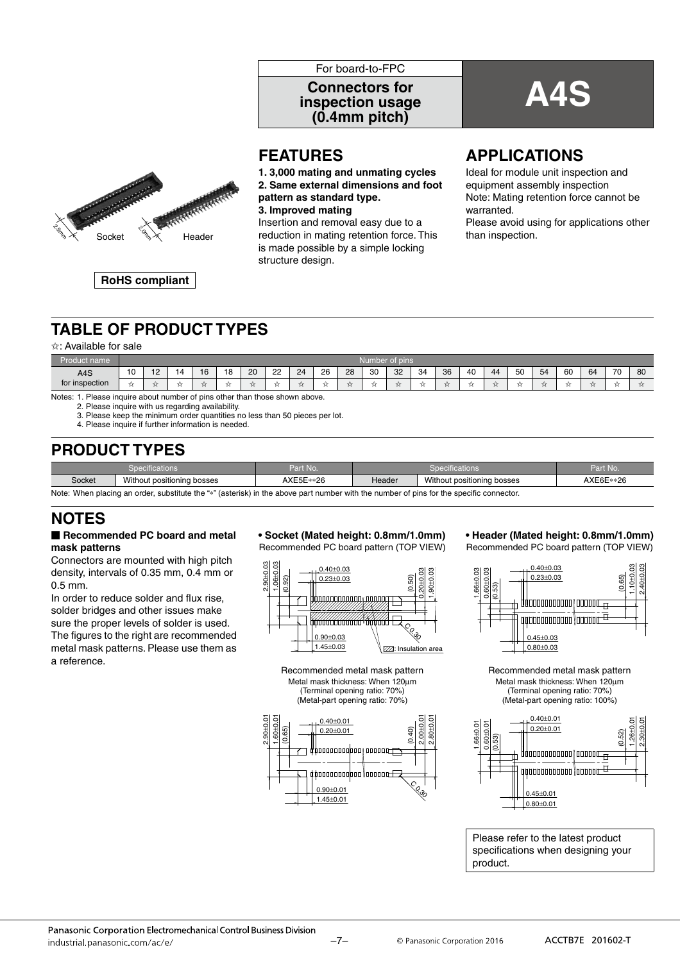

## **A4S Connectors for inspection usage (0.4mm pitch)**



**FEATURES**

**1. 3,000 mating and unmating cycles 2. Same external dimensions and foot pattern as standard type.**

**3. Improved mating**

Insertion and removal easy due to a is made possible by a simple locking structure design.

## **APPLICATIONS**

Ideal for module unit inspection and equipment assembly inspection Note: Mating retention force cannot be warranted. Please avoid using for applications other

**RoHS compliant**

## **TABLE OF PRODUCT TYPES**

#### ✩: Available for sale

| --<br>name<br>ЧЮ.<br>ollic |      | Number of pins     |            |     |              |      |                 |    |          |    |    |      |     |    |    |      |    |    |    |    |    |    |
|----------------------------|------|--------------------|------------|-----|--------------|------|-----------------|----|----------|----|----|------|-----|----|----|------|----|----|----|----|----|----|
| A4S                        | 10   | - 10<br>. <u>.</u> |            | 16  | $\circ$<br>۰ | 20   | ററ<br><u>__</u> | 24 | 26<br>__ | 28 | 30 | 32   | -34 | 36 | 40 | 44   | 50 | 54 | 60 | 64 | 70 | 80 |
| for inspection             | $-1$ | and hour           | <b>___</b> | $-$ | $-1$         | $-1$ | $-1$            | 57 |          | 一  |    | $-1$ |     | 77 |    | $-1$ | -  |    |    |    |    |    |

Notes: 1. Please inquire about number of pins other than those shown above.

2. Please inquire with us regarding availability.

3. Please keep the minimum order quantities no less than 50 pieces per lot.

4. Please inquire if further information is needed.

## **PRODUCT TYPES**

|        | Specifications <sup>'</sup>                                                                                                             | Part No.  |               | <b>Specifications</b> | Part No. |  |  |  |  |  |
|--------|-----------------------------------------------------------------------------------------------------------------------------------------|-----------|---------------|-----------------------|----------|--|--|--|--|--|
| Socket | Without positioning bosses                                                                                                              | AXE5E**26 | <b>Header</b> | AXE6E**26             |          |  |  |  |  |  |
|        | Note: When placing an order, substitute the "*" (asterisk) in the above part number with the number of pins for the specific connector. |           |               |                       |          |  |  |  |  |  |

## **NOTES**

#### - **Recommended PC board and metal mask patterns**

Connectors are mounted with high pitch density, intervals of 0.35 mm, 0.4 mm or 0.5 mm.

In order to reduce solder and flux rise, solder bridges and other issues make sure the proper levels of solder is used. The figures to the right are recommended metal mask patterns. Please use them as a reference.

## **• Socket (Mated height: 0.8mm/1.0mm)**

Recommended PC board pattern (TOP VIEW)







#### **• Header (Mated height: 0.8mm/1.0mm)** Recommended PC board pattern (TOP VIEW)



Recommended metal mask pattern Metal mask thickness: When 120μm (Terminal opening ratio: 70%) (Metal-part opening ratio: 100%)



Please refer to the latest product specifications when designing your product.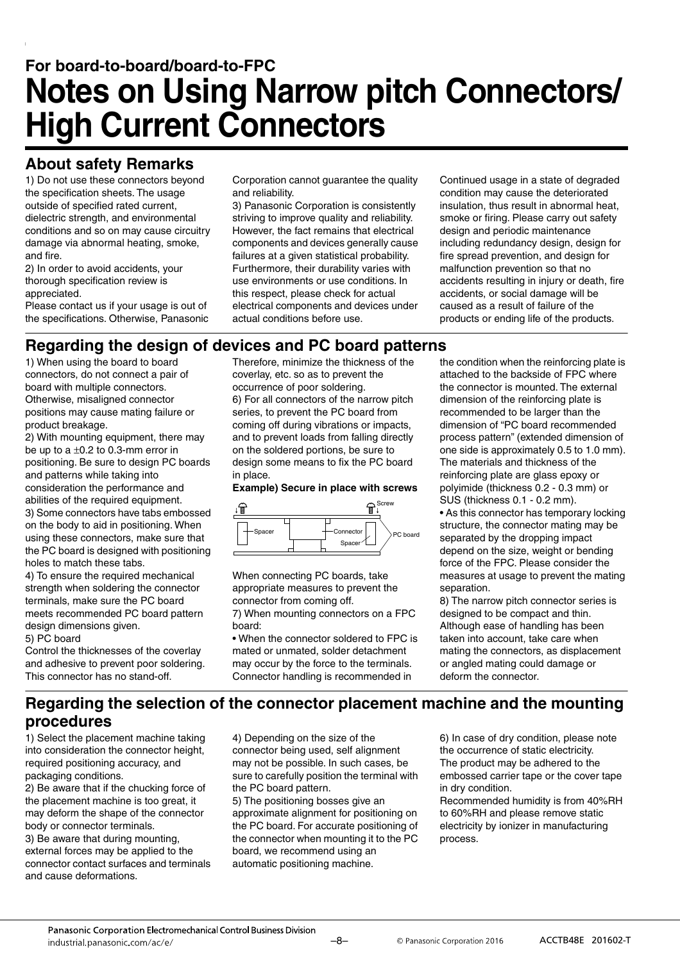## **For board-to-board/board-to-FPC Notes on Using Narrow pitch Connectors/ High Current Connectors**

## **About safety Remarks**

1) Do not use these connectors beyond the specification sheets. The usage outside of specified rated current, dielectric strength, and environmental conditions and so on may cause circuitry damage via abnormal heating, smoke, and fire.

2) In order to avoid accidents, your thorough specification review is appreciated.

Please contact us if your usage is out of the specifications. Otherwise, Panasonic Corporation cannot guarantee the quality and reliability.

3) Panasonic Corporation is consistently striving to improve quality and reliability. However, the fact remains that electrical components and devices generally cause failures at a given statistical probability. Furthermore, their durability varies with use environments or use conditions. In this respect, please check for actual electrical components and devices under actual conditions before use.

Continued usage in a state of degraded condition may cause the deteriorated insulation, thus result in abnormal heat, smoke or firing. Please carry out safety design and periodic maintenance including redundancy design, design for fire spread prevention, and design for malfunction prevention so that no accidents resulting in injury or death, fire accidents, or social damage will be caused as a result of failure of the products or ending life of the products.

## **Regarding the design of devices and PC board patterns**

1) When using the board to board connectors, do not connect a pair of board with multiple connectors. Otherwise, misaligned connector positions may cause mating failure or product breakage.

2) With mounting equipment, there may be up to a  $\pm 0.2$  to 0.3-mm error in positioning. Be sure to design PC boards and patterns while taking into consideration the performance and abilities of the required equipment. 3) Some connectors have tabs embossed on the body to aid in positioning. When using these connectors, make sure that the PC board is designed with positioning

holes to match these tabs. 4) To ensure the required mechanical strength when soldering the connector terminals, make sure the PC board meets recommended PC board pattern design dimensions given.

5) PC board Control the thicknesses of the coverlay and adhesive to prevent poor soldering. This connector has no stand-off.

Therefore, minimize the thickness of the coverlay, etc. so as to prevent the occurrence of poor soldering. 6) For all connectors of the narrow pitch series, to prevent the PC board from coming off during vibrations or impacts, and to prevent loads from falling directly on the soldered portions, be sure to design some means to fix the PC board in place.

#### **Example) Secure in place with screws**



When connecting PC boards, take appropriate measures to prevent the connector from coming off.

7) When mounting connectors on a FPC board:

• When the connector soldered to FPC is mated or unmated, solder detachment may occur by the force to the terminals. Connector handling is recommended in

the condition when the reinforcing plate is attached to the backside of FPC where the connector is mounted. The external dimension of the reinforcing plate is recommended to be larger than the dimension of "PC board recommended process pattern" (extended dimension of one side is approximately 0.5 to 1.0 mm). The materials and thickness of the reinforcing plate are glass epoxy or polyimide (thickness 0.2 - 0.3 mm) or SUS (thickness 0.1 - 0.2 mm).

• As this connector has temporary locking structure, the connector mating may be separated by the dropping impact depend on the size, weight or bending force of the FPC. Please consider the measures at usage to prevent the mating separation.

8) The narrow pitch connector series is designed to be compact and thin. Although ease of handling has been taken into account, take care when mating the connectors, as displacement or angled mating could damage or deform the connector.

## **Regarding the selection of the connector placement machine and the mounting procedures**

1) Select the placement machine taking into consideration the connector height, required positioning accuracy, and packaging conditions.

2) Be aware that if the chucking force of the placement machine is too great, it may deform the shape of the connector body or connector terminals.

3) Be aware that during mounting, external forces may be applied to the connector contact surfaces and terminals and cause deformations.

4) Depending on the size of the connector being used, self alignment may not be possible. In such cases, be sure to carefully position the terminal with the PC board pattern.

5) The positioning bosses give an approximate alignment for positioning on the PC board. For accurate positioning of the connector when mounting it to the PC board, we recommend using an automatic positioning machine.

6) In case of dry condition, please note the occurrence of static electricity. The product may be adhered to the embossed carrier tape or the cover tape in dry condition.

Recommended humidity is from 40%RH to 60%RH and please remove static electricity by ionizer in manufacturing process.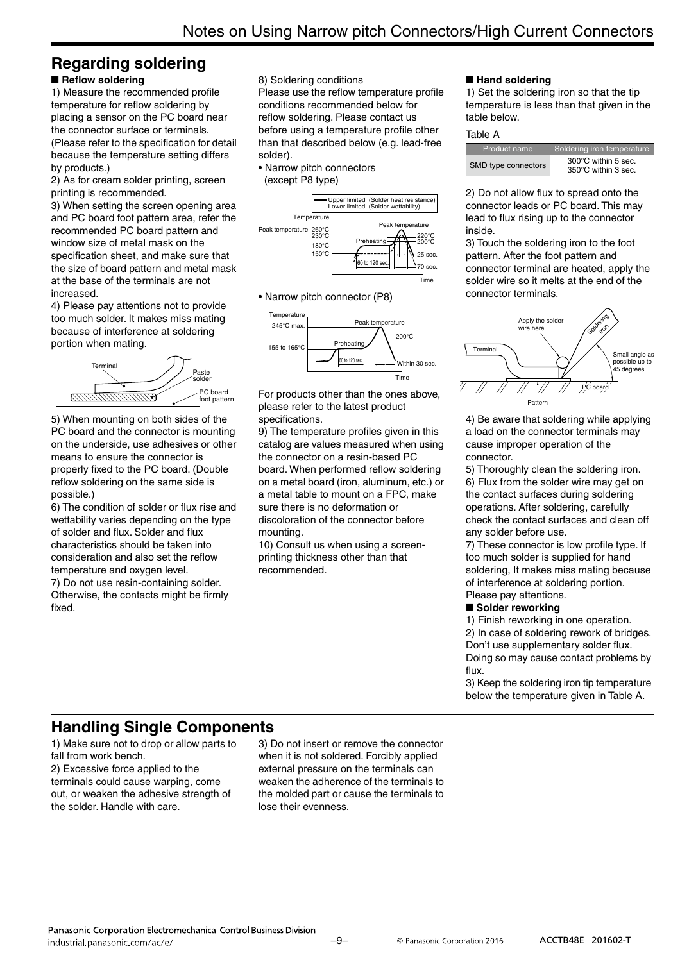#### **Regarding soldering** ■ Reflow soldering

1) Measure the recommended profile temperature for reflow soldering by placing a sensor on the PC board near the connector surface or terminals. (Please refer to the specification for detail because the temperature setting differs by products.)

2) As for cream solder printing, screen printing is recommended.

3) When setting the screen opening area and PC board foot pattern area, refer the recommended PC board pattern and window size of metal mask on the specification sheet, and make sure that the size of board pattern and metal mask at the base of the terminals are not increased.

4) Please pay attentions not to provide too much solder. It makes miss mating because of interference at soldering portion when mating.



5) When mounting on both sides of the PC board and the connector is mounting on the underside, use adhesives or other means to ensure the connector is properly fixed to the PC board. (Double reflow soldering on the same side is possible.)

6) The condition of solder or flux rise and wettability varies depending on the type of solder and flux. Solder and flux characteristics should be taken into consideration and also set the reflow temperature and oxygen level.

7) Do not use resin-containing solder. Otherwise, the contacts might be firmly fixed.

8) Soldering conditions

Please use the reflow temperature profile conditions recommended below for reflow soldering. Please contact us before using a temperature profile other than that described below (e.g. lead-free solder).

• Narrow pitch connectors (except P8 type)



• Narrow pitch connector (P8)



For products other than the ones above, please refer to the latest product specifications.

9) The temperature profiles given in this catalog are values measured when using the connector on a resin-based PC board. When performed reflow soldering on a metal board (iron, aluminum, etc.) or a metal table to mount on a FPC, make sure there is no deformation or discoloration of the connector before mounting.

10) Consult us when using a screenprinting thickness other than that recommended.

#### ■**Hand soldering**

1) Set the soldering iron so that the tip temperature is less than that given in the table below.

#### Table A

| Product name        | Soldering iron temperature                           |
|---------------------|------------------------------------------------------|
| SMD type connectors | $300^{\circ}$ C within 5 sec.<br>350°C within 3 sec. |

2) Do not allow flux to spread onto the connector leads or PC board. This may lead to flux rising up to the connector inside.

3) Touch the soldering iron to the foot pattern. After the foot pattern and connector terminal are heated, apply the solder wire so it melts at the end of the connector terminals.



4) Be aware that soldering while applying a load on the connector terminals may cause improper operation of the connector.

5) Thoroughly clean the soldering iron. 6) Flux from the solder wire may get on the contact surfaces during soldering operations. After soldering, carefully check the contact surfaces and clean off any solder before use.

7) These connector is low profile type. If too much solder is supplied for hand soldering, It makes miss mating because of interference at soldering portion. Please pay attentions.

#### ■ Solder reworking

1) Finish reworking in one operation.

2) In case of soldering rework of bridges. Don't use supplementary solder flux. Doing so may cause contact problems by flux.

3) Keep the soldering iron tip temperature below the temperature given in Table A.

## **Handling Single Components**

1) Make sure not to drop or allow parts to fall from work bench. 2) Excessive force applied to the terminals could cause warping, come out, or weaken the adhesive strength of the solder. Handle with care.

3) Do not insert or remove the connector when it is not soldered. Forcibly applied external pressure on the terminals can weaken the adherence of the terminals to the molded part or cause the terminals to lose their evenness.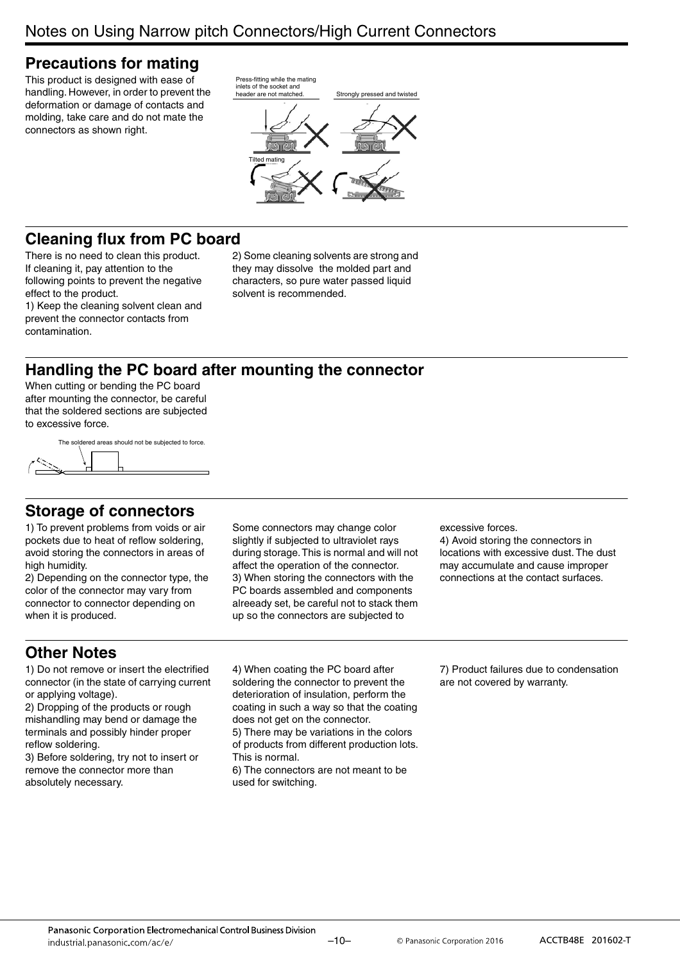## **Precautions for mating**

This product is designed with ease of handling. However, in order to prevent the deformation or damage of contacts and molding, take care and do not mate the connectors as shown right.



## **Cleaning flux from PC board**

There is no need to clean this product. If cleaning it, pay attention to the following points to prevent the negative effect to the product.

1) Keep the cleaning solvent clean and prevent the connector contacts from contamination.

2) Some cleaning solvents are strong and they may dissolve the molded part and characters, so pure water passed liquid solvent is recommended.

## **Handling the PC board after mounting the connector**

When cutting or bending the PC board after mounting the connector, be careful that the soldered sections are subjected to excessive force.

The soldered areas should not be subjected to force

## **Storage of connectors**

1) To prevent problems from voids or air pockets due to heat of reflow soldering, avoid storing the connectors in areas of high humidity.

2) Depending on the connector type, the color of the connector may vary from connector to connector depending on when it is produced.

Some connectors may change color slightly if subjected to ultraviolet rays during storage. This is normal and will not affect the operation of the connector. 3) When storing the connectors with the PC boards assembled and components alreeady set, be careful not to stack them up so the connectors are subjected to

excessive forces.

4) Avoid storing the connectors in locations with excessive dust. The dust may accumulate and cause improper connections at the contact surfaces.

## **Other Notes**

1) Do not remove or insert the electrified connector (in the state of carrying current or applying voltage).

2) Dropping of the products or rough mishandling may bend or damage the terminals and possibly hinder proper reflow soldering.

3) Before soldering, try not to insert or remove the connector more than absolutely necessary.

4) When coating the PC board after soldering the connector to prevent the deterioration of insulation, perform the coating in such a way so that the coating does not get on the connector. 5) There may be variations in the colors

of products from different production lots. This is normal.

6) The connectors are not meant to be used for switching.

7) Product failures due to condensation are not covered by warranty.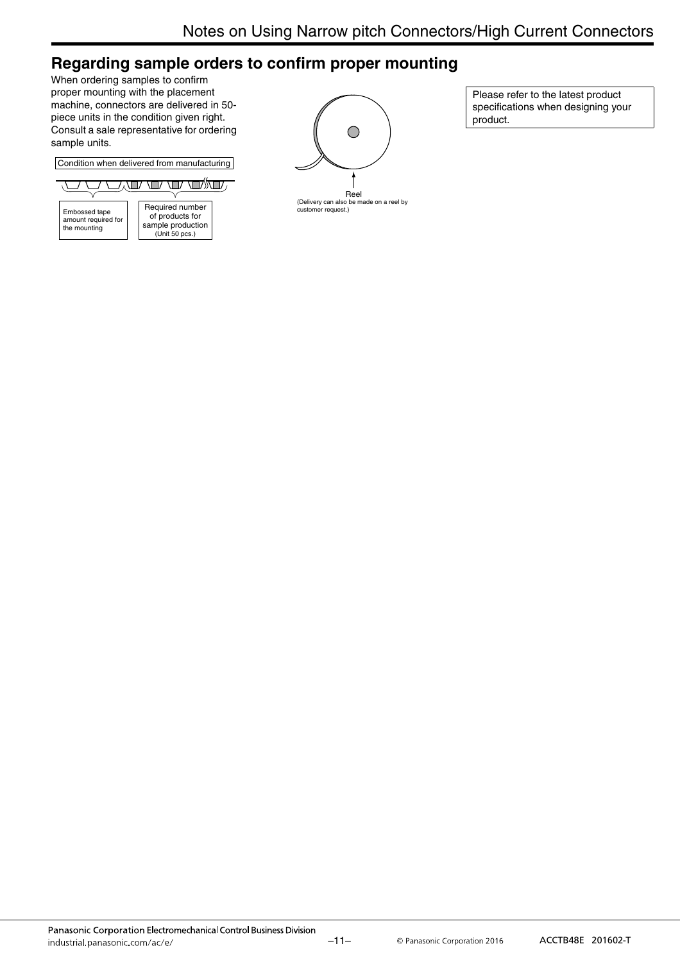## **Regarding sample orders to confirm proper mounting**

When ordering samples to confirm proper mounting with the placement machine, connectors are delivered in 50 piece units in the condition given right. Consult a sale representative for ordering sample units.

Condition when delivered from manufacturing





Please refer to the latest product specifications when designing your product.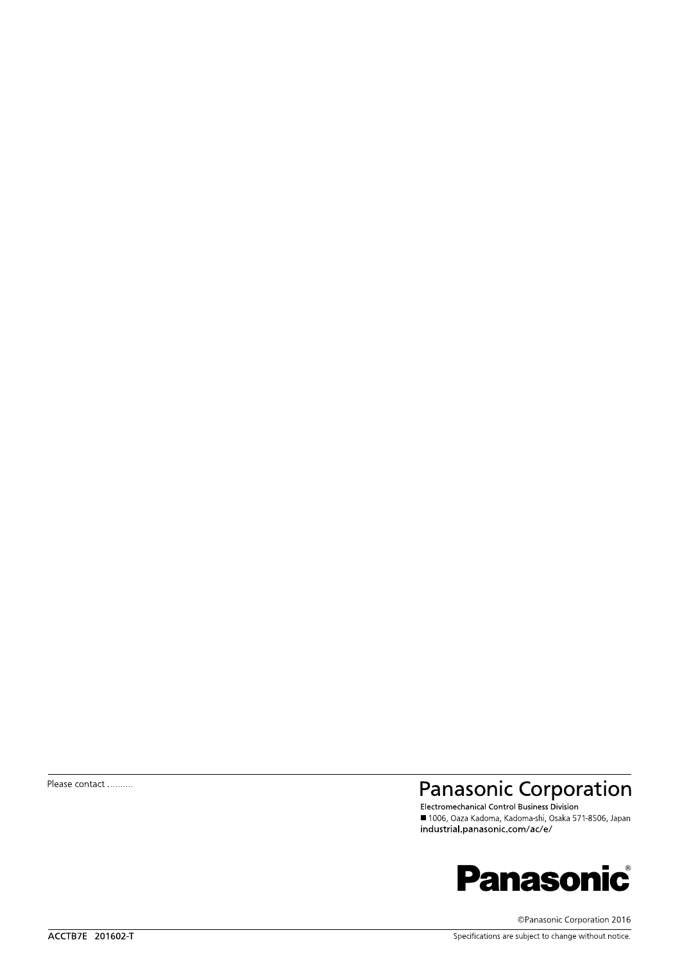Please contact ..........

## Panasonic Corporation

■ 1006, Oaza Kadoma, Kadoma-shi, Osaka 571-8506, Japan industrial.panasonic.com/ac/e/



©Panasonic Corporation 2016

Specifications are subject to change without notice.